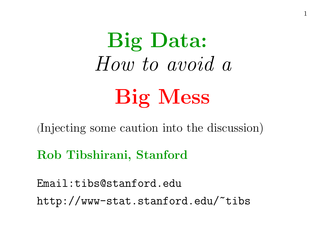Big Data: How to avoid a Big Mess

(Injecting some caution into the discussion)

Rob Tibshirani, Stanford

Email:tibs@stanford.edu http://www-stat.stanford.edu/~tibs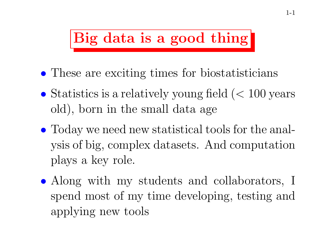# Big data is a good thing

- These are exciting times for biostatisticians
- Statistics is a relatively young field  $(< 100$  years old), born in the small data age
- Today we need new statistical tools for the analysis of big, complex datasets. And computation plays <sup>a</sup> key role.
- Along with my students and collaborators, I spend most of my time developing, testing and applying new tools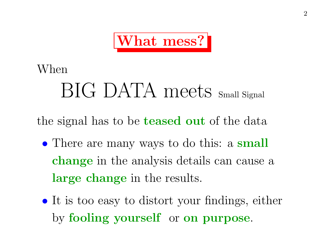

### When

# BIG DATA meets Small Signal

the signal has to be **teased out** of the data

- There are many ways to do this: a small change in the analysis details can cause a large change in the results.
- It is too easy to distort your findings, either by fooling yourself or on purpose.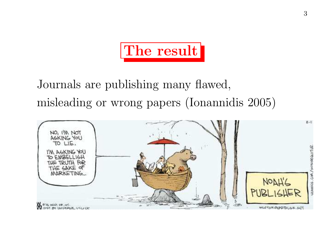

Journals are publishing many flawed, misleading or wrong papers (Ionannidis 2005)

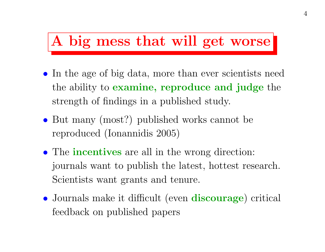## A big mess that will get worse

- In the age of big data, more than ever scientists need the ability to examine, reproduce and judge the strength of findings in <sup>a</sup> published study.
- But many (most?) published works cannot be reproduced (Ionannidis 2005)
- The **incentives** are all in the wrong direction: journals want to publish the latest, hottest research. Scientists want grants and tenure.
- Journals make it difficult (even **discourage**) critical feedback on published papers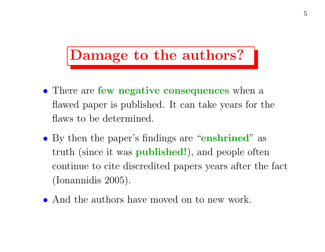# Damage to the authors?

- There are **few negative consequences** when a flawed paper is published. It can take years for the flaws to be determined.
- By then the paper's findings are "enshrined" as truth (since it was published!), and people often continue to cite discredited papers years after the fact (Ionannidis 2005).
- And the authors have moved on to new work.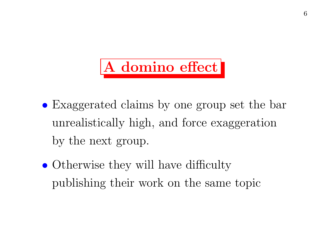# A domino effect

- Exaggerated claims by one group set the bar unrealistically high, and force exaggeration by the next group.
- Otherwise they will have difficulty publishing their work on the same topic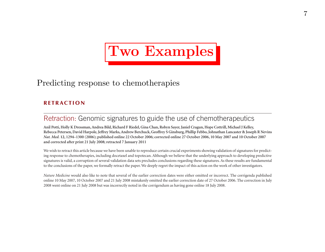# Two Examples

### Predicting response to chemotherapies

#### **RETRACTION**

#### Retraction: Genomic signatures to guide the use of chemotherapeutics

**Anil Potti, Holly K Dressman, Andrea Bild, Richard F Riedel, Gina Chan, Robyn Sayer, Janiel Cragun, Hope Cottrill, Michael J Kelley, Rebecca Petersen, David Harpole, Jeffrey Marks, Andrew Berchuck, Geoffrey S Ginsburg, Phillip Febbo, Johnathan Lancaster & Joseph R Nevins** *Nat. Med.* **<sup>12</sup>, 1294–1300 (2006); published online 22 October 2006; corrected online 27 October 2006, 10 May 2007 and 10 October 2007 and corrected after print 21 July 2008; retracted 7 January 2011**

We wish to retract this article because we have been unable to reproduce certain crucial experiments showing validation of signatures for predicting response to chemotherapies, including docetaxel and topotecan. Although we believe that the underlying approach to developing predictive signatures is valid, a corruption of several validation data sets precludes conclusions regarding these signatures. As these results are fundamental to the conclusions of the paper, we formally retract the paper. We deeply regret the impact of this action on the work of other investigators.

*Nature Medicine* would also like to note that several of the earlier correction dates were either omitted or incorrect. The corrigenda published online 10 May 2007, 10 October 2007 and 21 July 2008 mistakenly omitted the earlier correction date of 27 October 2006. The correction in July 2008 went online on 21 July 2008 but was incorrectly noted in the corrigendum as having gone online 18 July 2008.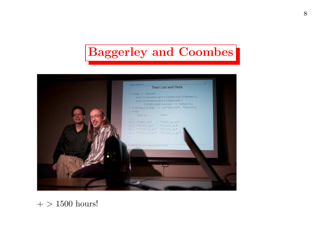### Baggerley and Coombes



### $+$  > 1500 hours!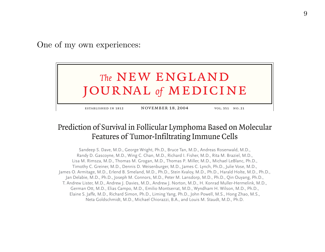One of my own experiences:



established in 1812 november 18, 2004 vol. <sup>351</sup> no. <sup>21</sup>

#### Prediction of Survival in Follicular Lymphoma Based on Molecular Features of Tumor-Infiltrating Immune Cells

Sandeep S. Dave, M.D., George Wright, Ph.D., Bruce Tan, M.D., Andreas Rosenwald, M.D., Randy D. Gascoyne, M.D., Wing C. Chan, M.D., Richard I. Fisher, M.D., Rita M. Braziel, M.D., Lisa M. Rimsza, M.D., Thomas M. Grogan, M.D., Thomas P. Miller, M.D., Michael LeBlanc, Ph.D., Timothy C. Greiner, M.D., Dennis D. Weisenburger, M.D., James C. Lynch, Ph.D., Julie Vose, M.D., James O. Armitage, M.D., Erlend B. Smeland, M.D., Ph.D., Stein Kvaloy, M.D., Ph.D., Harald Holte, M.D., Ph.D., Jan Delabie, M.D., Ph.D., Joseph M. Connors, M.D., Peter M. Lansdorp, M.D., Ph.D., Qin Ouyang, Ph.D., T. Andrew Lister, M.D., Andrew J. Davies, M.D., Andrew J. Norton, M.D., H. Konrad Muller-Hermelink, M.D., German Ott, M.D., Elias Campo, M.D., Emilio Montserrat, M.D., Wyndham H. Wilson, M.D., Ph.D., Elaine S. Jaffe, M.D., Richard Simon, Ph.D., Liming Yang, Ph.D., John Powell, M.S., Hong Zhao, M.S., Neta Goldschmidt, M.D., Michael Chiorazzi, B.A., and Louis M. Staudt, M.D., Ph.D.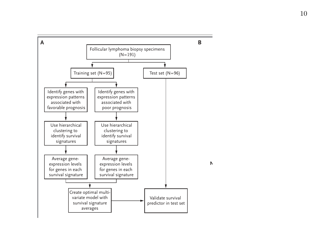



**No. at Risk**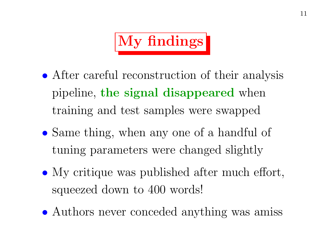

- After careful reconstruction of their analysis pipeline, the signal disappeared when training and test samples were swapped
- Same thing, when any one of a handful of tuning parameters were changed slightly
- My critique was published after much effort, squeezed down to 400 words!
- Authors never conceded anything was amiss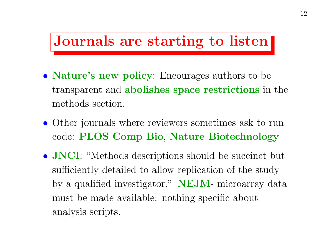### Journals are starting to listen

- **Nature's new policy**: Encourages authors to be transparent and abolishes space restrictions in the methods section.
- Other journals where reviewers sometimes ask to run code: PLOS Comp Bio, Nature Biotechnology
- **JNCI**: "Methods descriptions should be succinct but sufficiently detailed to allow replication of the study by a qualified investigator." **NEJM**- microarray data must be made available: nothing specific about analysis scripts.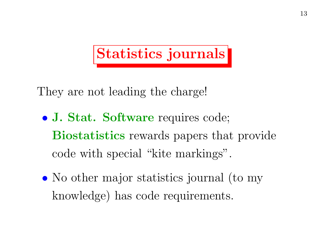# Statistics journals

They are not leading the charge!

- J. Stat. Software requires code; Biostatistics rewards papers that provide code with special "kite markings".
- No other major statistics journal (to my knowledge) has code requirements.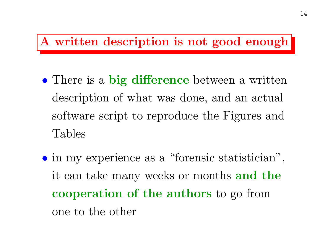### A written description is not good enough

- There is a big difference between a written description of what was done, and an actual software script to reproduce the Figures and Tables
- in my experience as <sup>a</sup> "forensic statistician", it can take many weeks or months and the cooperation of the authors to go from one to the other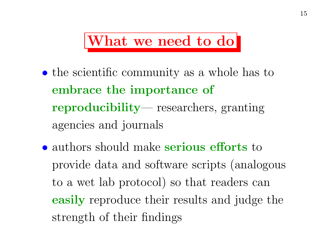## What we need to do

- the scientific community as a whole has to embrace the importance of reproducibility— researchers, granting agencies and journals
- authors should make serious efforts to provide data and software scripts (analogous to a wet lab protocol) so that readers can easily reproduce their results and judge the strength of their findings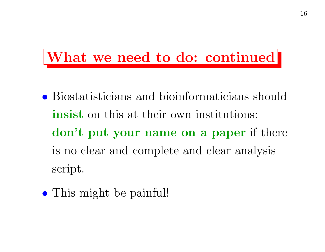## What we need to do: continued

- Biostatisticians and bioinformaticians should insist on this at their own institutions: don't put your name on <sup>a</sup> paper if there is no clear and complete and clear analysis script.
- This might be painful!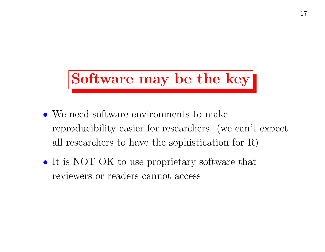# Software may be the key

- We need software environments to make reproducibility easier for researchers. (we can't expect all researchers to have the sophistication for R)
- It is NOT OK to use proprietary software that reviewers or readers cannot access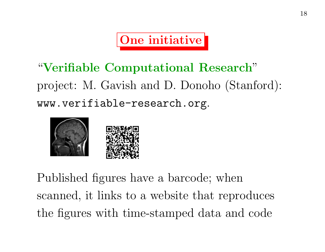One initiative

"Verifiable Computational Research" project: M. Gavish and D. Donoho (Stanford): www.verifiable-research.org.



Published figures have a barcode; when scanned, it links to <sup>a</sup> website that reproduces the figures with time-stamped data and code